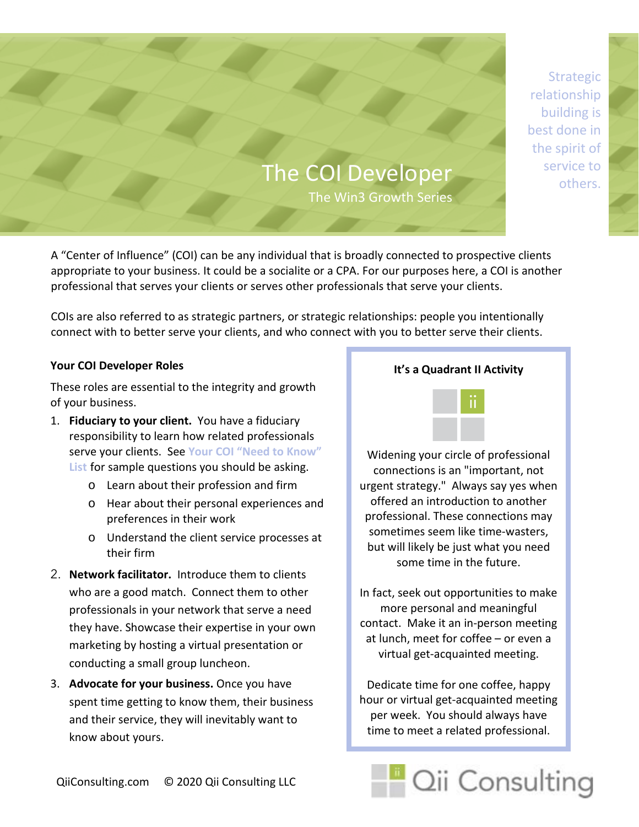**Strategic** relationship building is best done in the spirit of service to others.

# The COI Developer The Win3 Growth Series

A "Center of Influence" (COI) can be any individual that is broadly connected to prospective clients appropriate to your business. It could be a socialite or a CPA. For our purposes here, a COI is another professional that serves your clients or serves other professionals that serve your clients.

COIs are also referred to as strategic partners, or strategic relationships: people you intentionally connect with to better serve your clients, and who connect with you to better serve their clients.

#### **Your COI Developer Roles**

These roles are essential to the integrity and growth of your business.

- 1. **Fiduciary to your client.** You have a fiduciary responsibility to learn how related professionals serve your clients. See **Your COI "Need to Know" List** for sample questions you should be asking.
	- o Learn about their profession and firm
	- o Hear about their personal experiences and preferences in their work
	- o Understand the client service processes at their firm
- 2. **Network facilitator.** Introduce them to clients who are a good match. Connect them to other professionals in your network that serve a need they have. Showcase their expertise in your own marketing by hosting a virtual presentation or conducting a small group luncheon.
- 3. **Advocate for your business.** Once you have spent time getting to know them, their business and their service, they will inevitably want to know about yours.

# **It's a Quadrant II Activity**



Widening your circle of professional connections is an "important, not urgent strategy." Always say yes when offered an introduction to another professional. These connections may sometimes seem like time-wasters, but will likely be just what you need some time in the future.

In fact, seek out opportunities to make more personal and meaningful contact. Make it an in-person meeting at lunch, meet for coffee – or even a virtual get-acquainted meeting.

Dedicate time for one coffee, happy hour or virtual get-acquainted meeting per week. You should always have time to meet a related professional.

Cii Consulting